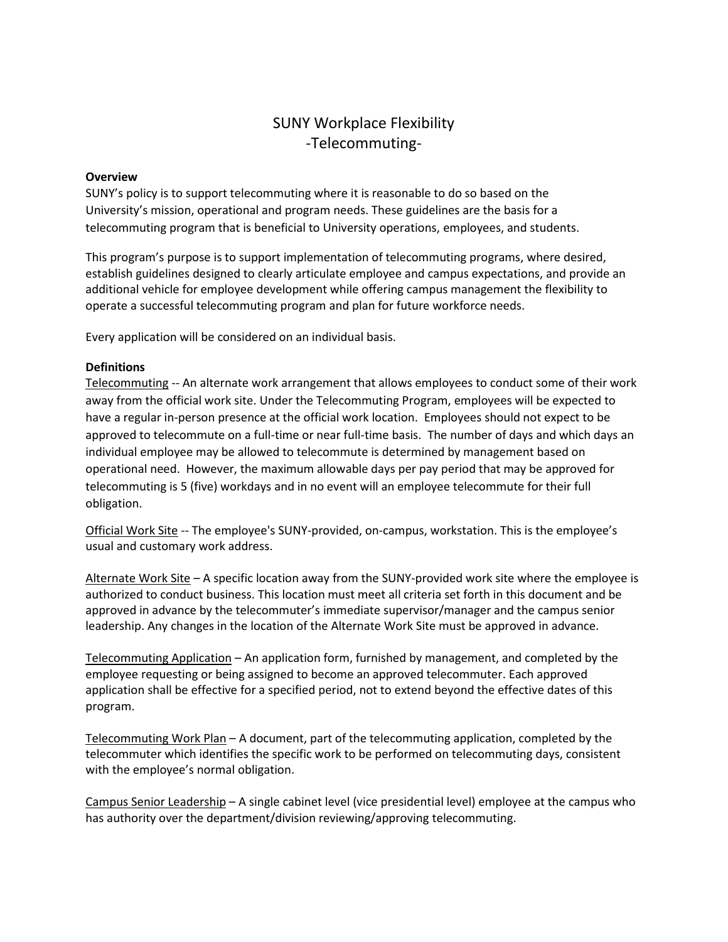# SUNY Workplace Flexibility -Telecommuting-

# **Overview**

SUNY's policy is to support telecommuting where it is reasonable to do so based on the University's mission, operational and program needs. These guidelines are the basis for a telecommuting program that is beneficial to University operations, employees, and students.

This program's purpose is to support implementation of telecommuting programs, where desired, establish guidelines designed to clearly articulate employee and campus expectations, and provide an additional vehicle for employee development while offering campus management the flexibility to operate a successful telecommuting program and plan for future workforce needs.

Every application will be considered on an individual basis.

## **Definitions**

Telecommuting -- An alternate work arrangement that allows employees to conduct some of their work away from the official work site. Under the Telecommuting Program, employees will be expected to have a regular in-person presence at the official work location. Employees should not expect to be approved to telecommute on a full-time or near full-time basis. The number of days and which days an individual employee may be allowed to telecommute is determined by management based on operational need. However, the maximum allowable days per pay period that may be approved for telecommuting is 5 (five) workdays and in no event will an employee telecommute for their full obligation.

Official Work Site -- The employee's SUNY-provided, on-campus, workstation. This is the employee's usual and customary work address.

Alternate Work Site – A specific location away from the SUNY-provided work site where the employee is authorized to conduct business. This location must meet all criteria set forth in this document and be approved in advance by the telecommuter's immediate supervisor/manager and the campus senior leadership. Any changes in the location of the Alternate Work Site must be approved in advance.

Telecommuting Application – An application form, furnished by management, and completed by the employee requesting or being assigned to become an approved telecommuter. Each approved application shall be effective for a specified period, not to extend beyond the effective dates of this program.

Telecommuting Work Plan – A document, part of the telecommuting application, completed by the telecommuter which identifies the specific work to be performed on telecommuting days, consistent with the employee's normal obligation.

Campus Senior Leadership – A single cabinet level (vice presidential level) employee at the campus who has authority over the department/division reviewing/approving telecommuting.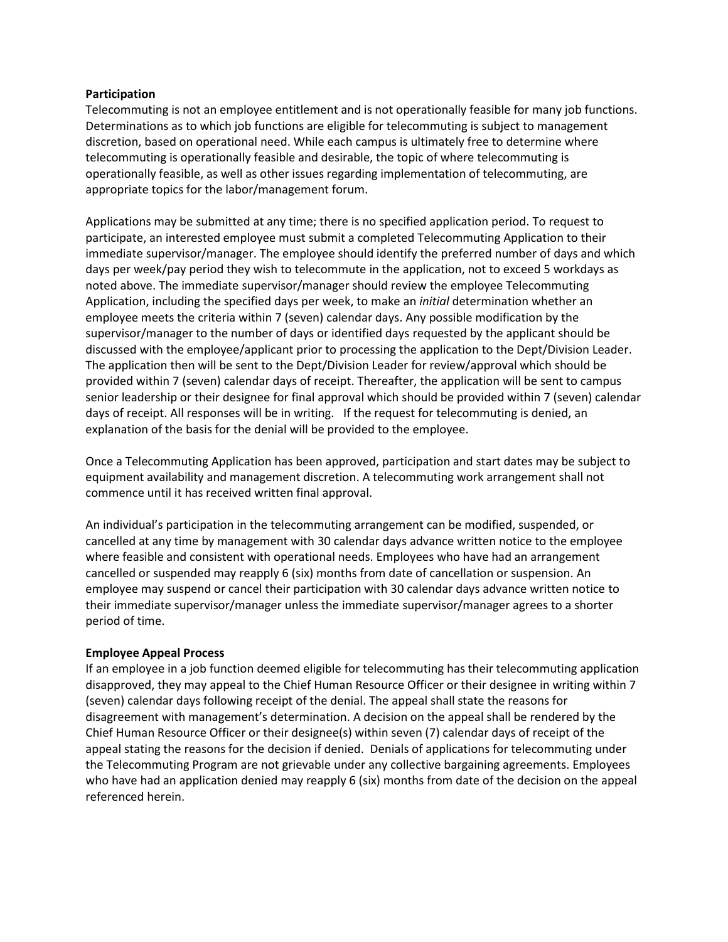### **Participation**

Telecommuting is not an employee entitlement and is not operationally feasible for many job functions. Determinations as to which job functions are eligible for telecommuting is subject to management discretion, based on operational need. While each campus is ultimately free to determine where telecommuting is operationally feasible and desirable, the topic of where telecommuting is operationally feasible, as well as other issues regarding implementation of telecommuting, are appropriate topics for the labor/management forum.

Applications may be submitted at any time; there is no specified application period. To request to participate, an interested employee must submit a completed Telecommuting Application to their immediate supervisor/manager. The employee should identify the preferred number of days and which days per week/pay period they wish to telecommute in the application, not to exceed 5 workdays as noted above. The immediate supervisor/manager should review the employee Telecommuting Application, including the specified days per week, to make an *initial* determination whether an employee meets the criteria within 7 (seven) calendar days. Any possible modification by the supervisor/manager to the number of days or identified days requested by the applicant should be discussed with the employee/applicant prior to processing the application to the Dept/Division Leader. The application then will be sent to the Dept/Division Leader for review/approval which should be provided within 7 (seven) calendar days of receipt. Thereafter, the application will be sent to campus senior leadership or their designee for final approval which should be provided within 7 (seven) calendar days of receipt. All responses will be in writing. If the request for telecommuting is denied, an explanation of the basis for the denial will be provided to the employee.

Once a Telecommuting Application has been approved, participation and start dates may be subject to equipment availability and management discretion. A telecommuting work arrangement shall not commence until it has received written final approval.

An individual's participation in the telecommuting arrangement can be modified, suspended, or cancelled at any time by management with 30 calendar days advance written notice to the employee where feasible and consistent with operational needs. Employees who have had an arrangement cancelled or suspended may reapply 6 (six) months from date of cancellation or suspension. An employee may suspend or cancel their participation with 30 calendar days advance written notice to their immediate supervisor/manager unless the immediate supervisor/manager agrees to a shorter period of time.

#### **Employee Appeal Process**

If an employee in a job function deemed eligible for telecommuting has their telecommuting application disapproved, they may appeal to the Chief Human Resource Officer or their designee in writing within 7 (seven) calendar days following receipt of the denial. The appeal shall state the reasons for disagreement with management's determination. A decision on the appeal shall be rendered by the Chief Human Resource Officer or their designee(s) within seven (7) calendar days of receipt of the appeal stating the reasons for the decision if denied. Denials of applications for telecommuting under the Telecommuting Program are not grievable under any collective bargaining agreements. Employees who have had an application denied may reapply 6 (six) months from date of the decision on the appeal referenced herein.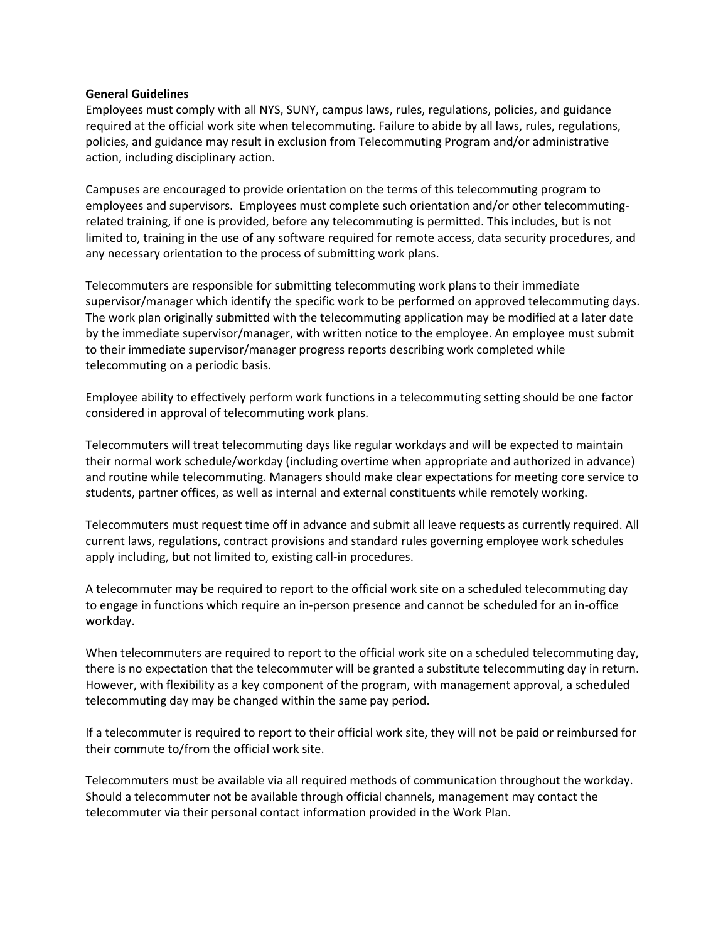### **General Guidelines**

Employees must comply with all NYS, SUNY, campus laws, rules, regulations, policies, and guidance required at the official work site when telecommuting. Failure to abide by all laws, rules, regulations, policies, and guidance may result in exclusion from Telecommuting Program and/or administrative action, including disciplinary action.

Campuses are encouraged to provide orientation on the terms of this telecommuting program to employees and supervisors. Employees must complete such orientation and/or other telecommutingrelated training, if one is provided, before any telecommuting is permitted. This includes, but is not limited to, training in the use of any software required for remote access, data security procedures, and any necessary orientation to the process of submitting work plans.

Telecommuters are responsible for submitting telecommuting work plans to their immediate supervisor/manager which identify the specific work to be performed on approved telecommuting days. The work plan originally submitted with the telecommuting application may be modified at a later date by the immediate supervisor/manager, with written notice to the employee. An employee must submit to their immediate supervisor/manager progress reports describing work completed while telecommuting on a periodic basis.

Employee ability to effectively perform work functions in a telecommuting setting should be one factor considered in approval of telecommuting work plans.

Telecommuters will treat telecommuting days like regular workdays and will be expected to maintain their normal work schedule/workday (including overtime when appropriate and authorized in advance) and routine while telecommuting. Managers should make clear expectations for meeting core service to students, partner offices, as well as internal and external constituents while remotely working.

Telecommuters must request time off in advance and submit all leave requests as currently required. All current laws, regulations, contract provisions and standard rules governing employee work schedules apply including, but not limited to, existing call-in procedures.

A telecommuter may be required to report to the official work site on a scheduled telecommuting day to engage in functions which require an in-person presence and cannot be scheduled for an in-office workday.

When telecommuters are required to report to the official work site on a scheduled telecommuting day, there is no expectation that the telecommuter will be granted a substitute telecommuting day in return. However, with flexibility as a key component of the program, with management approval, a scheduled telecommuting day may be changed within the same pay period.

If a telecommuter is required to report to their official work site, they will not be paid or reimbursed for their commute to/from the official work site.

Telecommuters must be available via all required methods of communication throughout the workday. Should a telecommuter not be available through official channels, management may contact the telecommuter via their personal contact information provided in the Work Plan.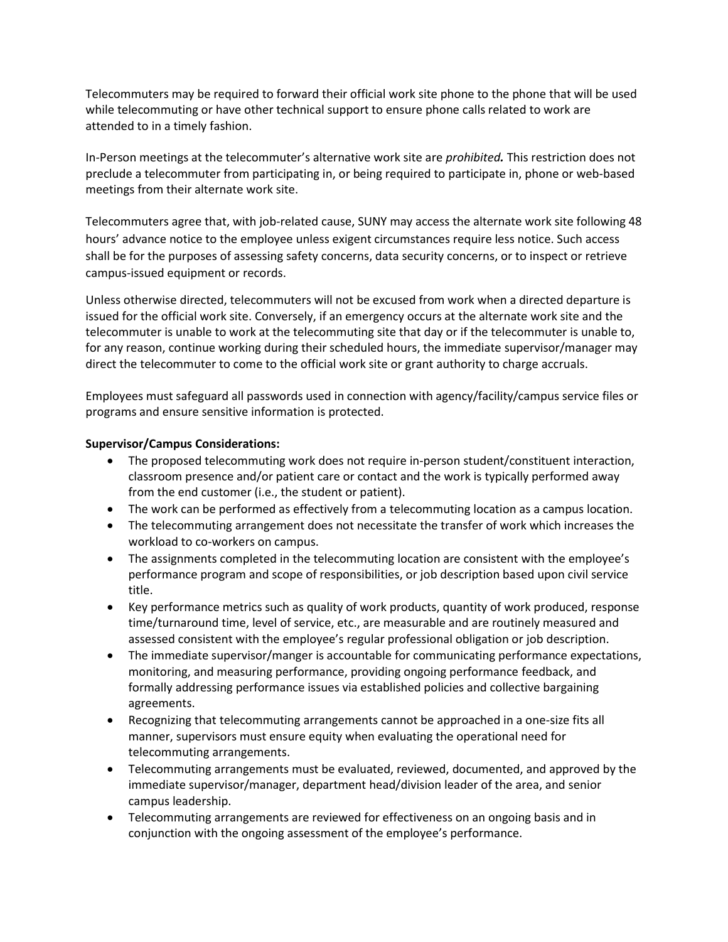Telecommuters may be required to forward their official work site phone to the phone that will be used while telecommuting or have other technical support to ensure phone calls related to work are attended to in a timely fashion.

In-Person meetings at the telecommuter's alternative work site are *prohibited.* This restriction does not preclude a telecommuter from participating in, or being required to participate in, phone or web-based meetings from their alternate work site.

Telecommuters agree that, with job-related cause, SUNY may access the alternate work site following 48 hours' advance notice to the employee unless exigent circumstances require less notice. Such access shall be for the purposes of assessing safety concerns, data security concerns, or to inspect or retrieve campus-issued equipment or records.

Unless otherwise directed, telecommuters will not be excused from work when a directed departure is issued for the official work site. Conversely, if an emergency occurs at the alternate work site and the telecommuter is unable to work at the telecommuting site that day or if the telecommuter is unable to, for any reason, continue working during their scheduled hours, the immediate supervisor/manager may direct the telecommuter to come to the official work site or grant authority to charge accruals.

Employees must safeguard all passwords used in connection with agency/facility/campus service files or programs and ensure sensitive information is protected.

# **Supervisor/Campus Considerations:**

- The proposed telecommuting work does not require in-person student/constituent interaction, classroom presence and/or patient care or contact and the work is typically performed away from the end customer (i.e., the student or patient).
- The work can be performed as effectively from a telecommuting location as a campus location.
- The telecommuting arrangement does not necessitate the transfer of work which increases the workload to co-workers on campus.
- The assignments completed in the telecommuting location are consistent with the employee's performance program and scope of responsibilities, or job description based upon civil service title.
- Key performance metrics such as quality of work products, quantity of work produced, response time/turnaround time, level of service, etc., are measurable and are routinely measured and assessed consistent with the employee's regular professional obligation or job description.
- The immediate supervisor/manger is accountable for communicating performance expectations, monitoring, and measuring performance, providing ongoing performance feedback, and formally addressing performance issues via established policies and collective bargaining agreements.
- Recognizing that telecommuting arrangements cannot be approached in a one-size fits all manner, supervisors must ensure equity when evaluating the operational need for telecommuting arrangements.
- Telecommuting arrangements must be evaluated, reviewed, documented, and approved by the immediate supervisor/manager, department head/division leader of the area, and senior campus leadership.
- Telecommuting arrangements are reviewed for effectiveness on an ongoing basis and in conjunction with the ongoing assessment of the employee's performance.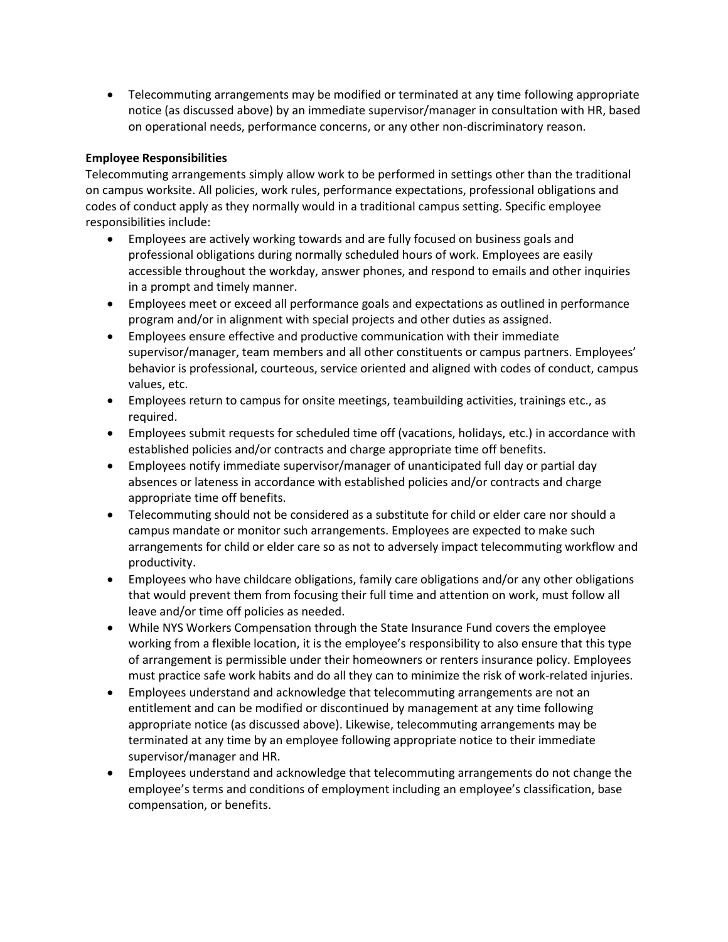• Telecommuting arrangements may be modified or terminated at any time following appropriate notice (as discussed above) by an immediate supervisor/manager in consultation with HR, based on operational needs, performance concerns, or any other non-discriminatory reason.

# **Employee Responsibilities**

Telecommuting arrangements simply allow work to be performed in settings other than the traditional on campus worksite. All policies, work rules, performance expectations, professional obligations and codes of conduct apply as they normally would in a traditional campus setting. Specific employee responsibilities include:

- Employees are actively working towards and are fully focused on business goals and professional obligations during normally scheduled hours of work. Employees are easily accessible throughout the workday, answer phones, and respond to emails and other inquiries in a prompt and timely manner.
- Employees meet or exceed all performance goals and expectations as outlined in performance program and/or in alignment with special projects and other duties as assigned.
- Employees ensure effective and productive communication with their immediate supervisor/manager, team members and all other constituents or campus partners. Employees' behavior is professional, courteous, service oriented and aligned with codes of conduct, campus values, etc.
- Employees return to campus for onsite meetings, teambuilding activities, trainings etc., as required.
- Employees submit requests for scheduled time off (vacations, holidays, etc.) in accordance with established policies and/or contracts and charge appropriate time off benefits.
- Employees notify immediate supervisor/manager of unanticipated full day or partial day absences or lateness in accordance with established policies and/or contracts and charge appropriate time off benefits.
- Telecommuting should not be considered as a substitute for child or elder care nor should a campus mandate or monitor such arrangements. Employees are expected to make such arrangements for child or elder care so as not to adversely impact telecommuting workflow and productivity.
- Employees who have childcare obligations, family care obligations and/or any other obligations that would prevent them from focusing their full time and attention on work, must follow all leave and/or time off policies as needed.
- While NYS Workers Compensation through the State Insurance Fund covers the employee working from a flexible location, it is the employee's responsibility to also ensure that this type of arrangement is permissible under their homeowners or renters insurance policy. Employees must practice safe work habits and do all they can to minimize the risk of work-related injuries.
- Employees understand and acknowledge that telecommuting arrangements are not an entitlement and can be modified or discontinued by management at any time following appropriate notice (as discussed above). Likewise, telecommuting arrangements may be terminated at any time by an employee following appropriate notice to their immediate supervisor/manager and HR.
- Employees understand and acknowledge that telecommuting arrangements do not change the employee's terms and conditions of employment including an employee's classification, base compensation, or benefits.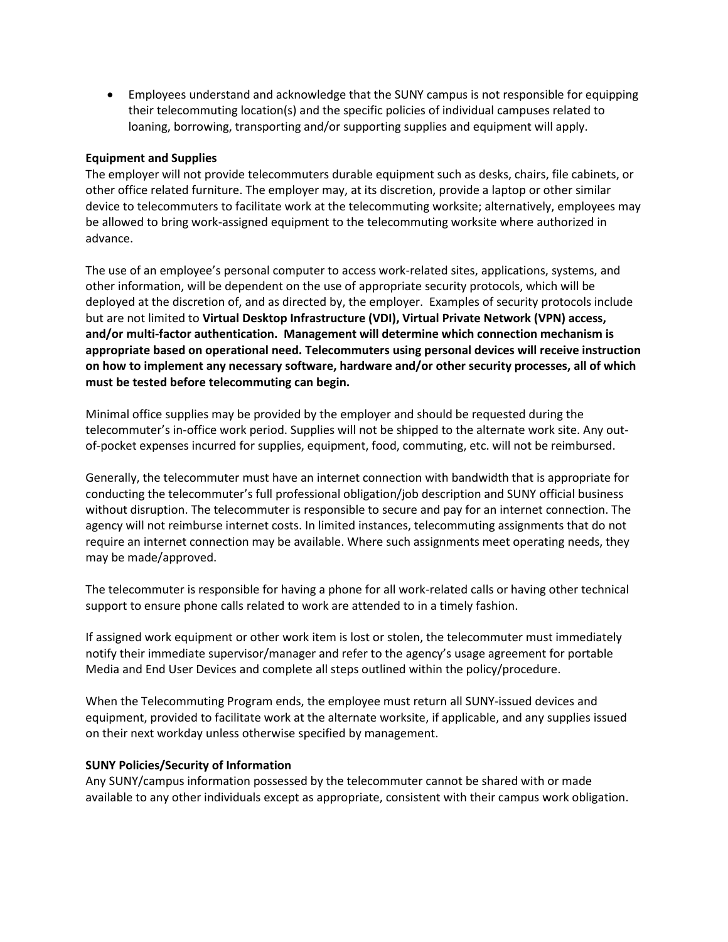• Employees understand and acknowledge that the SUNY campus is not responsible for equipping their telecommuting location(s) and the specific policies of individual campuses related to loaning, borrowing, transporting and/or supporting supplies and equipment will apply.

## **Equipment and Supplies**

The employer will not provide telecommuters durable equipment such as desks, chairs, file cabinets, or other office related furniture. The employer may, at its discretion, provide a laptop or other similar device to telecommuters to facilitate work at the telecommuting worksite; alternatively, employees may be allowed to bring work-assigned equipment to the telecommuting worksite where authorized in advance.

The use of an employee's personal computer to access work-related sites, applications, systems, and other information, will be dependent on the use of appropriate security protocols, which will be deployed at the discretion of, and as directed by, the employer. Examples of security protocols include but are not limited to **Virtual Desktop Infrastructure (VDI), Virtual Private Network (VPN) access, and/or multi-factor authentication. Management will determine which connection mechanism is appropriate based on operational need. Telecommuters using personal devices will receive instruction on how to implement any necessary software, hardware and/or other security processes, all of which must be tested before telecommuting can begin.**

Minimal office supplies may be provided by the employer and should be requested during the telecommuter's in-office work period. Supplies will not be shipped to the alternate work site. Any outof-pocket expenses incurred for supplies, equipment, food, commuting, etc. will not be reimbursed.

Generally, the telecommuter must have an internet connection with bandwidth that is appropriate for conducting the telecommuter's full professional obligation/job description and SUNY official business without disruption. The telecommuter is responsible to secure and pay for an internet connection. The agency will not reimburse internet costs. In limited instances, telecommuting assignments that do not require an internet connection may be available. Where such assignments meet operating needs, they may be made/approved.

The telecommuter is responsible for having a phone for all work-related calls or having other technical support to ensure phone calls related to work are attended to in a timely fashion.

If assigned work equipment or other work item is lost or stolen, the telecommuter must immediately notify their immediate supervisor/manager and refer to the agency's usage agreement for portable Media and End User Devices and complete all steps outlined within the policy/procedure.

When the Telecommuting Program ends, the employee must return all SUNY-issued devices and equipment, provided to facilitate work at the alternate worksite, if applicable, and any supplies issued on their next workday unless otherwise specified by management.

#### **SUNY Policies/Security of Information**

Any SUNY/campus information possessed by the telecommuter cannot be shared with or made available to any other individuals except as appropriate, consistent with their campus work obligation.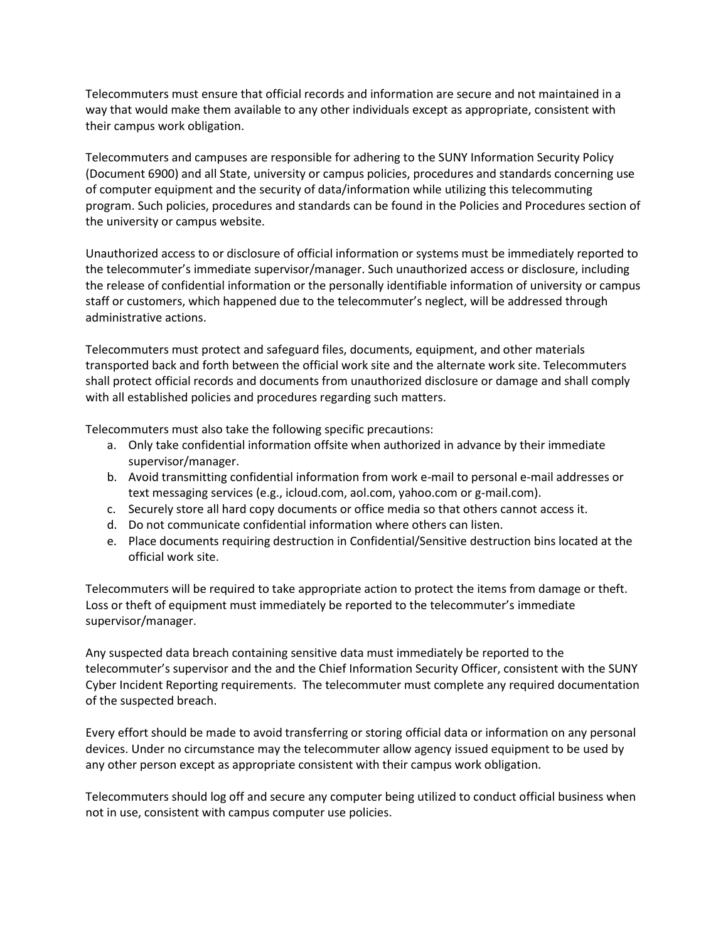Telecommuters must ensure that official records and information are secure and not maintained in a way that would make them available to any other individuals except as appropriate, consistent with their campus work obligation.

Telecommuters and campuses are responsible for adhering to the SUNY Information Security Policy (Document 6900) and all State, university or campus policies, procedures and standards concerning use of computer equipment and the security of data/information while utilizing this telecommuting program. Such policies, procedures and standards can be found in the Policies and Procedures section of the university or campus website.

Unauthorized access to or disclosure of official information or systems must be immediately reported to the telecommuter's immediate supervisor/manager. Such unauthorized access or disclosure, including the release of confidential information or the personally identifiable information of university or campus staff or customers, which happened due to the telecommuter's neglect, will be addressed through administrative actions.

Telecommuters must protect and safeguard files, documents, equipment, and other materials transported back and forth between the official work site and the alternate work site. Telecommuters shall protect official records and documents from unauthorized disclosure or damage and shall comply with all established policies and procedures regarding such matters.

Telecommuters must also take the following specific precautions:

- a. Only take confidential information offsite when authorized in advance by their immediate supervisor/manager.
- b. Avoid transmitting confidential information from work e-mail to personal e-mail addresses or text messaging services (e.g., icloud.com, aol.com, yahoo.com or g-mail.com).
- c. Securely store all hard copy documents or office media so that others cannot access it.
- d. Do not communicate confidential information where others can listen.
- e. Place documents requiring destruction in Confidential/Sensitive destruction bins located at the official work site.

Telecommuters will be required to take appropriate action to protect the items from damage or theft. Loss or theft of equipment must immediately be reported to the telecommuter's immediate supervisor/manager.

Any suspected data breach containing sensitive data must immediately be reported to the telecommuter's supervisor and the and the Chief Information Security Officer, consistent with the SUNY Cyber Incident Reporting requirements. The telecommuter must complete any required documentation of the suspected breach.

Every effort should be made to avoid transferring or storing official data or information on any personal devices. Under no circumstance may the telecommuter allow agency issued equipment to be used by any other person except as appropriate consistent with their campus work obligation.

Telecommuters should log off and secure any computer being utilized to conduct official business when not in use, consistent with campus computer use policies.